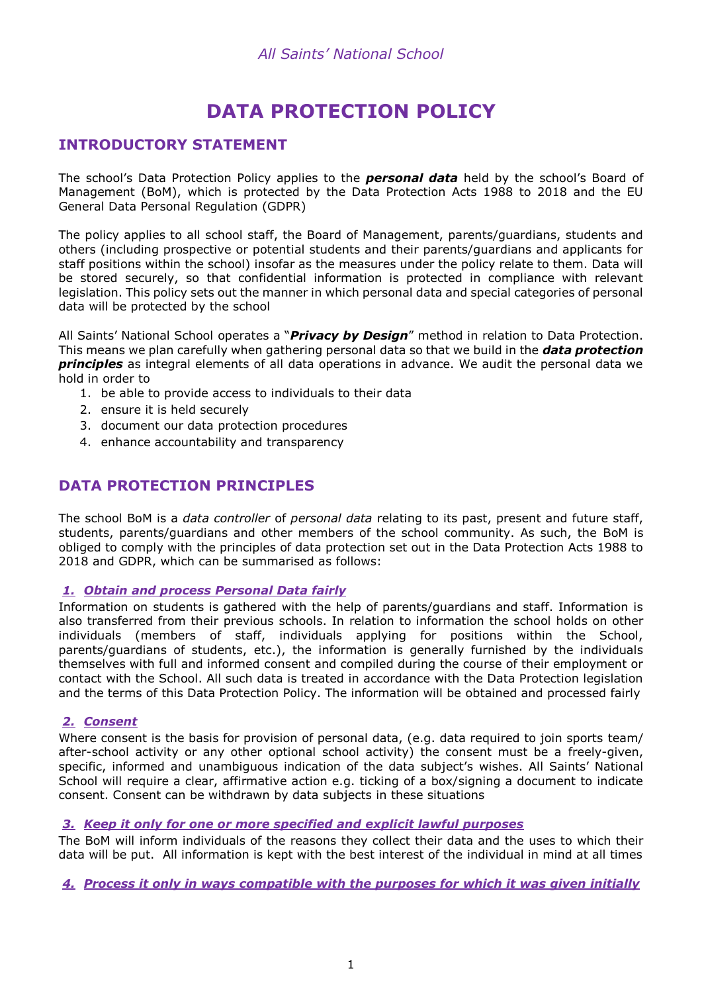# **DATA PROTECTION POLICY**

# **INTRODUCTORY STATEMENT**

The school's Data Protection Policy applies to the *personal data* held by the school's Board of Management (BoM), which is protected by the Data Protection Acts 1988 to 2018 and the EU General Data Personal Regulation (GDPR)

The policy applies to all school staff, the Board of Management, parents/guardians, students and others (including prospective or potential students and their parents/guardians and applicants for staff positions within the school) insofar as the measures under the policy relate to them. Data will be stored securely, so that confidential information is protected in compliance with relevant legislation. This policy sets out the manner in which personal data and special categories of personal data will be protected by the school

All Saints' National School operates a "*Privacy by Design*" method in relation to Data Protection. This means we plan carefully when gathering personal data so that we build in the *data protection principles* as integral elements of all data operations in advance. We audit the personal data we hold in order to

- 1. be able to provide access to individuals to their data
- 2. ensure it is held securely
- 3. document our data protection procedures
- 4. enhance accountability and transparency

# **DATA PROTECTION PRINCIPLES**

The school BoM is a *data controller* of *personal data* relating to its past, present and future staff, students, parents/guardians and other members of the school community. As such, the BoM is obliged to comply with the principles of data protection set out in the Data Protection Acts 1988 to 2018 and GDPR, which can be summarised as follows:

#### *1. Obtain and process Personal Data fairly*

Information on students is gathered with the help of parents/guardians and staff. Information is also transferred from their previous schools. In relation to information the school holds on other individuals (members of staff, individuals applying for positions within the School, parents/guardians of students, etc.), the information is generally furnished by the individuals themselves with full and informed consent and compiled during the course of their employment or contact with the School. All such data is treated in accordance with the Data Protection legislation and the terms of this Data Protection Policy. The information will be obtained and processed fairly

### *2. Consent*

Where consent is the basis for provision of personal data, (e.g. data required to join sports team/ after-school activity or any other optional school activity) the consent must be a freely-given, specific, informed and unambiguous indication of the data subject's wishes. All Saints' National School will require a clear, affirmative action e.g. ticking of a box/signing a document to indicate consent. Consent can be withdrawn by data subjects in these situations

#### *3. Keep it only for one or more specified and explicit lawful purposes*

The BoM will inform individuals of the reasons they collect their data and the uses to which their data will be put. All information is kept with the best interest of the individual in mind at all times

*4. Process it only in ways compatible with the purposes for which it was given initially*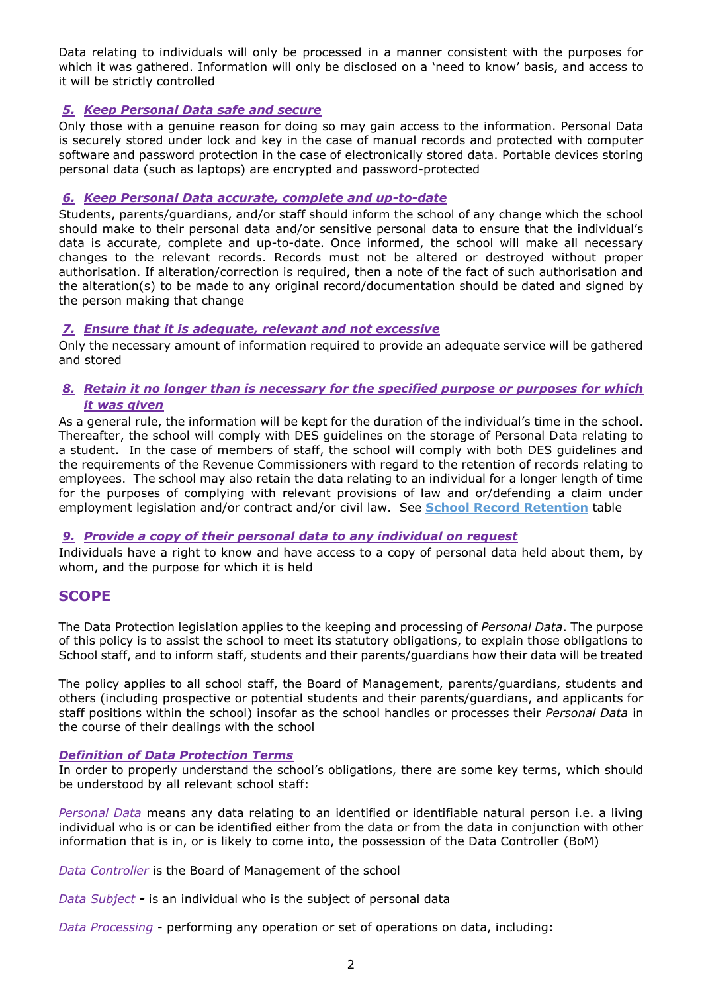Data relating to individuals will only be processed in a manner consistent with the purposes for which it was gathered. Information will only be disclosed on a 'need to know' basis, and access to it will be strictly controlled

### *5. Keep Personal Data safe and secure*

Only those with a genuine reason for doing so may gain access to the information. Personal Data is securely stored under lock and key in the case of manual records and protected with computer software and password protection in the case of electronically stored data. Portable devices storing personal data (such as laptops) are encrypted and password-protected

### *6. Keep Personal Data accurate, complete and up-to-date*

Students, parents/guardians, and/or staff should inform the school of any change which the school should make to their personal data and/or sensitive personal data to ensure that the individual's data is accurate, complete and up-to-date. Once informed, the school will make all necessary changes to the relevant records. Records must not be altered or destroyed without proper authorisation. If alteration/correction is required, then a note of the fact of such authorisation and the alteration(s) to be made to any original record/documentation should be dated and signed by the person making that change

## *7. Ensure that it is adequate, relevant and not excessive*

Only the necessary amount of information required to provide an adequate service will be gathered and stored

#### *8. Retain it no longer than is necessary for the specified purpose or purposes for which it was given*

As a general rule, the information will be kept for the duration of the individual's time in the school. Thereafter, the school will comply with DES guidelines on the storage of Personal Data relating to a student. In the case of members of staff, the school will comply with both DES guidelines and the requirements of the Revenue Commissioners with regard to the retention of records relating to employees. The school may also retain the data relating to an individual for a longer length of time for the purposes of complying with relevant provisions of law and or/defending a claim under employment legislation and/or contract and/or civil law. See **School Record Retention** table

### *9. Provide a copy of their personal data to any individual on request*

Individuals have a right to know and have access to a copy of personal data held about them, by whom, and the purpose for which it is held

## **SCOPE**

The Data Protection legislation applies to the keeping and processing of *Personal Data*. The purpose of this policy is to assist the school to meet its statutory obligations, to explain those obligations to School staff, and to inform staff, students and their parents/guardians how their data will be treated

The policy applies to all school staff, the Board of Management, parents/guardians, students and others (including prospective or potential students and their parents/guardians, and applicants for staff positions within the school) insofar as the school handles or processes their *Personal Data* in the course of their dealings with the school

#### *Definition of Data Protection Terms*

In order to properly understand the school's obligations, there are some key terms, which should be understood by all relevant school staff:

*Personal Data* means any data relating to an identified or identifiable natural person i.e. a living individual who is or can be identified either from the data or from the data in conjunction with other information that is in, or is likely to come into, the possession of the Data Controller (BoM)

*Data Controller* is the Board of Management of the school

*Data Subject -* is an individual who is the subject of personal data

*Data Processing* - performing any operation or set of operations on data, including: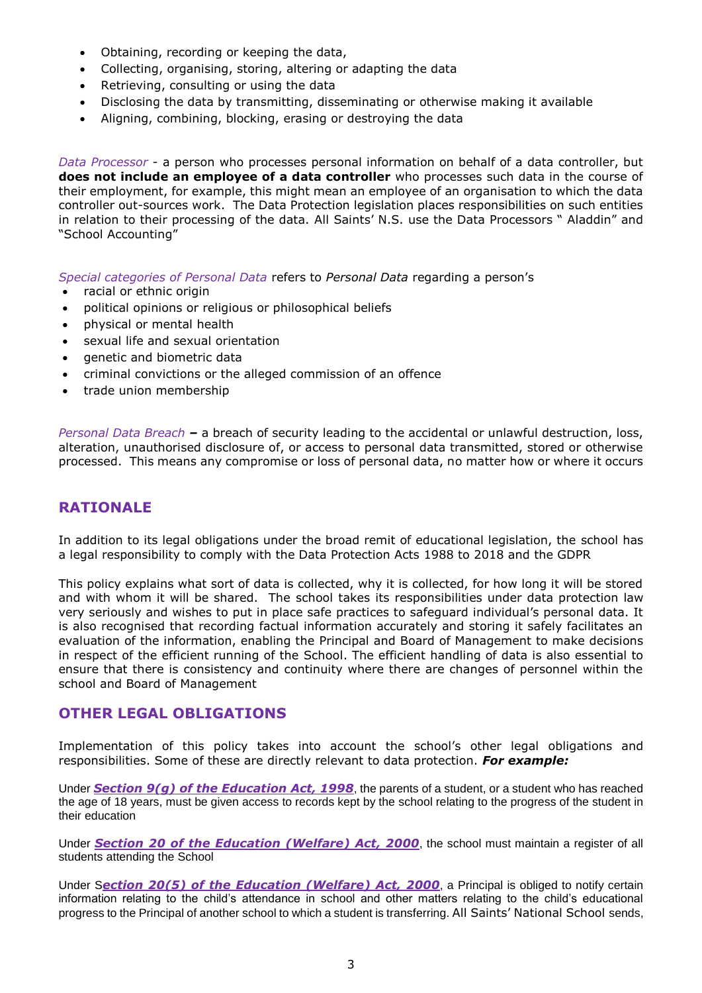- Obtaining, recording or keeping the data,
- Collecting, organising, storing, altering or adapting the data
- Retrieving, consulting or using the data
- Disclosing the data by transmitting, disseminating or otherwise making it available
- Aligning, combining, blocking, erasing or destroying the data

*Data Processor* - a person who processes personal information on behalf of a data controller, but **does not include an employee of a data controller** who processes such data in the course of their employment, for example, this might mean an employee of an organisation to which the data controller out-sources work. The Data Protection legislation places responsibilities on such entities in relation to their processing of the data. All Saints' N.S. use the Data Processors " Aladdin" and "School Accounting"

*Special categories of Personal Data* refers to *Personal Data* regarding a person's

- racial or ethnic origin
- political opinions or religious or philosophical beliefs
- physical or mental health
- sexual life and sexual orientation
- genetic and biometric data
- criminal convictions or the alleged commission of an offence
- trade union membership

*Personal Data Breach –* a breach of security leading to the accidental or unlawful destruction, loss, alteration, unauthorised disclosure of, or access to personal data transmitted, stored or otherwise processed. This means any compromise or loss of personal data, no matter how or where it occurs

## **RATIONALE**

In addition to its legal obligations under the broad remit of educational legislation, the school has a legal responsibility to comply with the Data Protection Acts 1988 to 2018 and the GDPR

This policy explains what sort of data is collected, why it is collected, for how long it will be stored and with whom it will be shared. The school takes its responsibilities under data protection law very seriously and wishes to put in place safe practices to safeguard individual's personal data. It is also recognised that recording factual information accurately and storing it safely facilitates an evaluation of the information, enabling the Principal and Board of Management to make decisions in respect of the efficient running of the School. The efficient handling of data is also essential to ensure that there is consistency and continuity where there are changes of personnel within the school and Board of Management

### **OTHER LEGAL OBLIGATIONS**

Implementation of this policy takes into account the school's other legal obligations and responsibilities. Some of these are directly relevant to data protection. *For example:*

Under *Section 9(g) of the [Education Act, 1998](http://acts2.oireachtas.ie/zza51y1998.1.html)*, the parents of a student, or a student who has reached the age of 18 years, must be given access to records kept by the school relating to the progress of the student in their education

Under *Section 20 of the [Education \(Welfare\) Act, 2000](http://www.oireachtas.ie/documents/bills28/acts/2000/a2200.pdf)*, the school must maintain a register of all students attending the School

Under S*ection 20(5) of the Education (Welfare) Act, 2000*, a Principal is obliged to notify certain information relating to the child's attendance in school and other matters relating to the child's educational progress to the Principal of another school to which a student is transferring. All Saints' National School sends,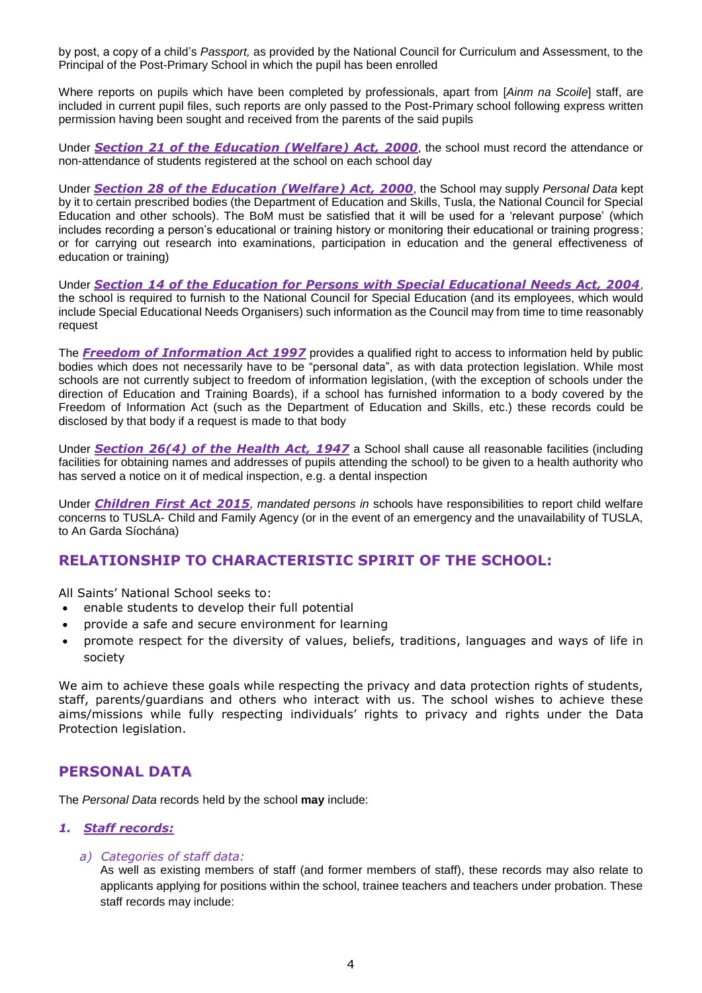by post, a copy of a child's *Passport,* as provided by the National Council for Curriculum and Assessment, to the Principal of the Post-Primary School in which the pupil has been enrolled

Where reports on pupils which have been completed by professionals, apart from [*Ainm na Scoile*] staff, are included in current pupil files, such reports are only passed to the Post-Primary school following express written permission having been sought and received from the parents of the said pupils

Under *Section 21 of the [Education \(Welfare\) Act, 2000](http://www.oireachtas.ie/documents/bills28/acts/2000/a2200.pdf)*, the school must record the attendance or non-attendance of students registered at the school on each school day

Under *Section 28 of the [Education \(Welfare\) Act, 2000](http://www.oireachtas.ie/documents/bills28/acts/2000/a2200.pdf)*, the School may supply *Personal Data* kept by it to certain prescribed bodies (the Department of Education and Skills, Tusla, the National Council for Special Education and other schools). The BoM must be satisfied that it will be used for a 'relevant purpose' (which includes recording a person's educational or training history or monitoring their educational or training progress; or for carrying out research into examinations, participation in education and the general effectiveness of education or training)

Under *Section 14 of the Education for Persons with Special Educational Needs Act, 2004*, the school is required to furnish to the National Council for Special Education (and its employees, which would include Special Educational Needs Organisers) such information as the Council may from time to time reasonably request

The *Freedom of Information Act 1997* provides a qualified right to access to information held by public bodies which does not necessarily have to be "personal data", as with data protection legislation. While most schools are not currently subject to freedom of information legislation, (with the exception of schools under the direction of Education and Training Boards), if a school has furnished information to a body covered by the Freedom of Information Act (such as the Department of Education and Skills, etc.) these records could be disclosed by that body if a request is made to that body

Under *Section 26(4) of the Health Act, 1947* a School shall cause all reasonable facilities (including facilities for obtaining names and addresses of pupils attending the school) to be given to a health authority who has served a notice on it of medical inspection, e.g. a dental inspection

Under *Children First Act 2015, mandated persons in* schools have responsibilities to report child welfare concerns to TUSLA- Child and Family Agency (or in the event of an emergency and the unavailability of TUSLA, to An Garda Síochána)

# **RELATIONSHIP TO CHARACTERISTIC SPIRIT OF THE SCHOOL:**

All Saints' National School seeks to:

- enable students to develop their full potential
- provide a safe and secure environment for learning
- promote respect for the diversity of values, beliefs, traditions, languages and ways of life in society

We aim to achieve these goals while respecting the privacy and data protection rights of students, staff, parents/guardians and others who interact with us. The school wishes to achieve these aims/missions while fully respecting individuals' rights to privacy and rights under the Data Protection legislation.

## **PERSONAL DATA**

The *Personal Data* records held by the school **may** include:

#### *1. Staff records:*

#### *a) Categories of staff data:*

As well as existing members of staff (and former members of staff), these records may also relate to applicants applying for positions within the school, trainee teachers and teachers under probation. These staff records may include: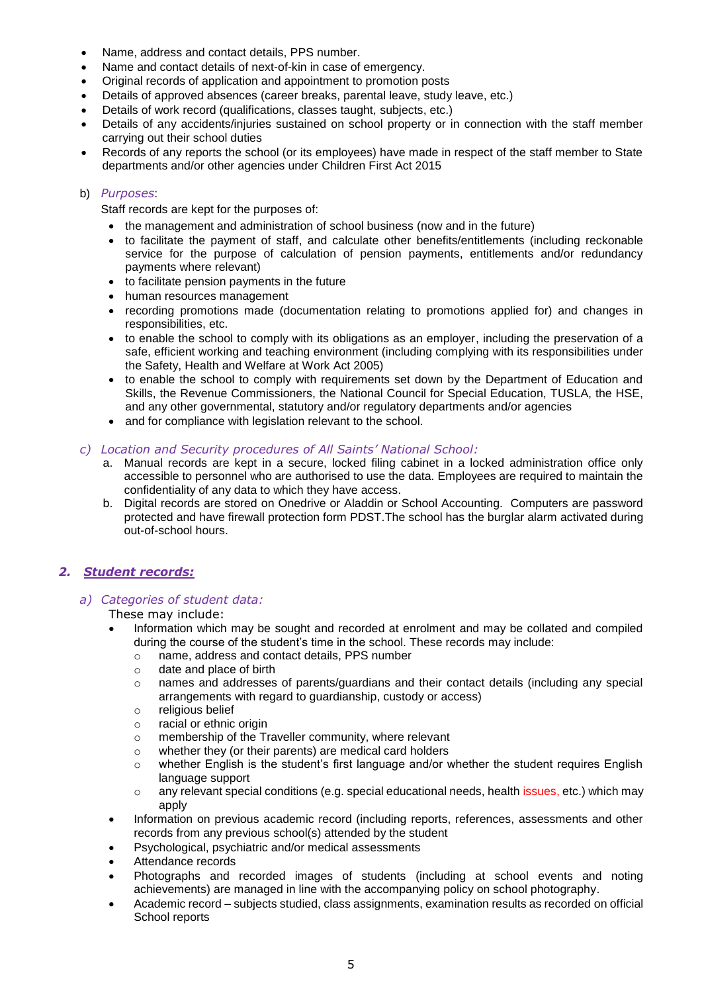- Name, address and contact details, PPS number.
- Name and contact details of next-of-kin in case of emergency.
- Original records of application and appointment to promotion posts
- Details of approved absences (career breaks, parental leave, study leave, etc.)
- Details of work record (qualifications, classes taught, subjects, etc.)
- Details of any accidents/injuries sustained on school property or in connection with the staff member carrying out their school duties
- Records of any reports the school (or its employees) have made in respect of the staff member to State departments and/or other agencies under Children First Act 2015

#### b) *Purposes*:

Staff records are kept for the purposes of:

- the management and administration of school business (now and in the future)
- to facilitate the payment of staff, and calculate other benefits/entitlements (including reckonable service for the purpose of calculation of pension payments, entitlements and/or redundancy payments where relevant)
- to facilitate pension payments in the future
- human resources management
- recording promotions made (documentation relating to promotions applied for) and changes in responsibilities, etc.
- to enable the school to comply with its obligations as an employer, including the preservation of a safe, efficient working and teaching environment (including complying with its responsibilities under the Safety, Health and Welfare at Work Act 2005)
- to enable the school to comply with requirements set down by the Department of Education and Skills, the Revenue Commissioners, the National Council for Special Education, TUSLA, the HSE, and any other governmental, statutory and/or regulatory departments and/or agencies
- and for compliance with legislation relevant to the school.

#### *c) Location and Security procedures of All Saints' National School:*

- a. Manual records are kept in a secure, locked filing cabinet in a locked administration office only accessible to personnel who are authorised to use the data. Employees are required to maintain the confidentiality of any data to which they have access.
- b. Digital records are stored on Onedrive or Aladdin or School Accounting. Computers are password protected and have firewall protection form PDST.The school has the burglar alarm activated during out-of-school hours.

#### *2. Student records:*

#### *a) Categories of student data:*

#### These may include:

- Information which may be sought and recorded at enrolment and may be collated and compiled during the course of the student's time in the school. These records may include:
	- o name, address and contact details, PPS number
	- o date and place of birth
	- o names and addresses of parents/guardians and their contact details (including any special arrangements with regard to guardianship, custody or access)
	- o religious belief
	- o racial or ethnic origin
	- o membership of the Traveller community, where relevant
	- o whether they (or their parents) are medical card holders
	- $\circ$  whether English is the student's first language and/or whether the student requires English language support
	- o any relevant special conditions (e.g. special educational needs, health issues, etc.) which may apply
- Information on previous academic record (including reports, references, assessments and other records from any previous school(s) attended by the student
- Psychological, psychiatric and/or medical assessments
- Attendance records
- Photographs and recorded images of students (including at school events and noting achievements) are managed in line with the accompanying policy on school photography.
- Academic record subjects studied, class assignments, examination results as recorded on official School reports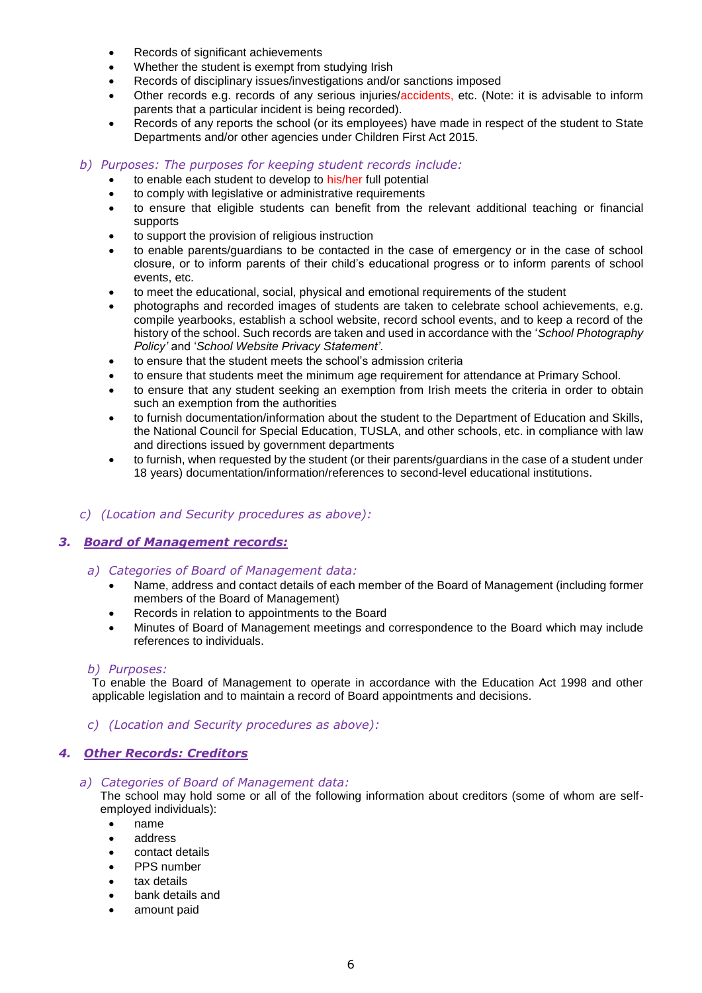- Records of significant achievements
- Whether the student is exempt from studying Irish
- Records of disciplinary issues/investigations and/or sanctions imposed
- Other records e.g. records of any serious injuries/accidents, etc. (Note: it is advisable to inform parents that a particular incident is being recorded).
- Records of any reports the school (or its employees) have made in respect of the student to State Departments and/or other agencies under Children First Act 2015.

#### *b) Purposes: The purposes for keeping student records include:*

- to enable each student to develop to his/her full potential
- to comply with legislative or administrative requirements
- to ensure that eligible students can benefit from the relevant additional teaching or financial supports
- to support the provision of religious instruction
- to enable parents/guardians to be contacted in the case of emergency or in the case of school closure, or to inform parents of their child's educational progress or to inform parents of school events, etc.
- to meet the educational, social, physical and emotional requirements of the student
- photographs and recorded images of students are taken to celebrate school achievements, e.g. compile yearbooks, establish a school website, record school events, and to keep a record of the history of the school. Such records are taken and used in accordance with the '*School Photography Policy'* and '*School Website Privacy Statement'*.
- to ensure that the student meets the school's admission criteria
- to ensure that students meet the minimum age requirement for attendance at Primary School.
- to ensure that any student seeking an exemption from Irish meets the criteria in order to obtain such an exemption from the authorities
- to furnish documentation/information about the student to the Department of Education and Skills, the National Council for Special Education, TUSLA, and other schools, etc. in compliance with law and directions issued by government departments
- to furnish, when requested by the student (or their parents/guardians in the case of a student under 18 years) documentation/information/references to second-level educational institutions.

#### *c) (Location and Security procedures as above):*

#### *3. Board of Management records:*

- *a) Categories of Board of Management data:*
	- Name, address and contact details of each member of the Board of Management (including former members of the Board of Management)
	- Records in relation to appointments to the Board
	- Minutes of Board of Management meetings and correspondence to the Board which may include references to individuals.

#### *b) Purposes:*

To enable the Board of Management to operate in accordance with the Education Act 1998 and other applicable legislation and to maintain a record of Board appointments and decisions.

#### *c) (Location and Security procedures as above):*

#### *4. Other Records: Creditors*

*a) Categories of Board of Management data:*

The school may hold some or all of the following information about creditors (some of whom are selfemployed individuals):

- name
- address
- contact details
- PPS number
- tax details
- bank details and
- amount paid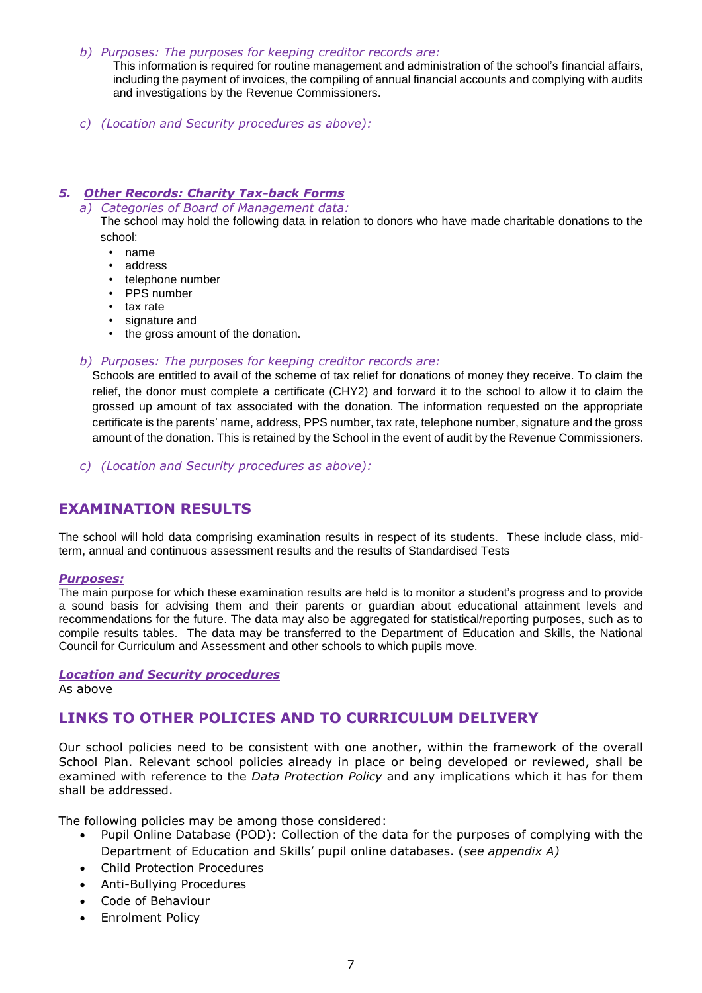#### *b) Purposes: The purposes for keeping creditor records are:*

This information is required for routine management and administration of the school's financial affairs, including the payment of invoices, the compiling of annual financial accounts and complying with audits and investigations by the Revenue Commissioners.

*c) (Location and Security procedures as above):* 

### *5. Other Records: Charity Tax-back Forms*

*a) Categories of Board of Management data:*

The school may hold the following data in relation to donors who have made charitable donations to the school:

- name
- address
- telephone number
- PPS number
- tax rate
- signature and
- the gross amount of the donation.

#### *b) Purposes: The purposes for keeping creditor records are:*

Schools are entitled to avail of the scheme of tax relief for donations of money they receive. To claim the relief, the donor must complete a certificate (CHY2) and forward it to the school to allow it to claim the grossed up amount of tax associated with the donation. The information requested on the appropriate certificate is the parents' name, address, PPS number, tax rate, telephone number, signature and the gross amount of the donation. This is retained by the School in the event of audit by the Revenue Commissioners.

*c) (Location and Security procedures as above):* 

# **EXAMINATION RESULTS**

The school will hold data comprising examination results in respect of its students. These include class, midterm, annual and continuous assessment results and the results of Standardised Tests

#### *Purposes:*

The main purpose for which these examination results are held is to monitor a student's progress and to provide a sound basis for advising them and their parents or guardian about educational attainment levels and recommendations for the future. The data may also be aggregated for statistical/reporting purposes, such as to compile results tables. The data may be transferred to the Department of Education and Skills, the National Council for Curriculum and Assessment and other schools to which pupils move.

*Location and Security procedures* 

As above

## **LINKS TO OTHER POLICIES AND TO CURRICULUM DELIVERY**

Our school policies need to be consistent with one another, within the framework of the overall School Plan. Relevant school policies already in place or being developed or reviewed, shall be examined with reference to the *Data Protection Policy* and any implications which it has for them shall be addressed.

The following policies may be among those considered:

- Pupil Online Database (POD): Collection of the data for the purposes of complying with the Department of Education and Skills' pupil online databases. (*see appendix A)*
- Child Protection Procedures
- Anti-Bullying Procedures
- Code of Behaviour
- Enrolment Policy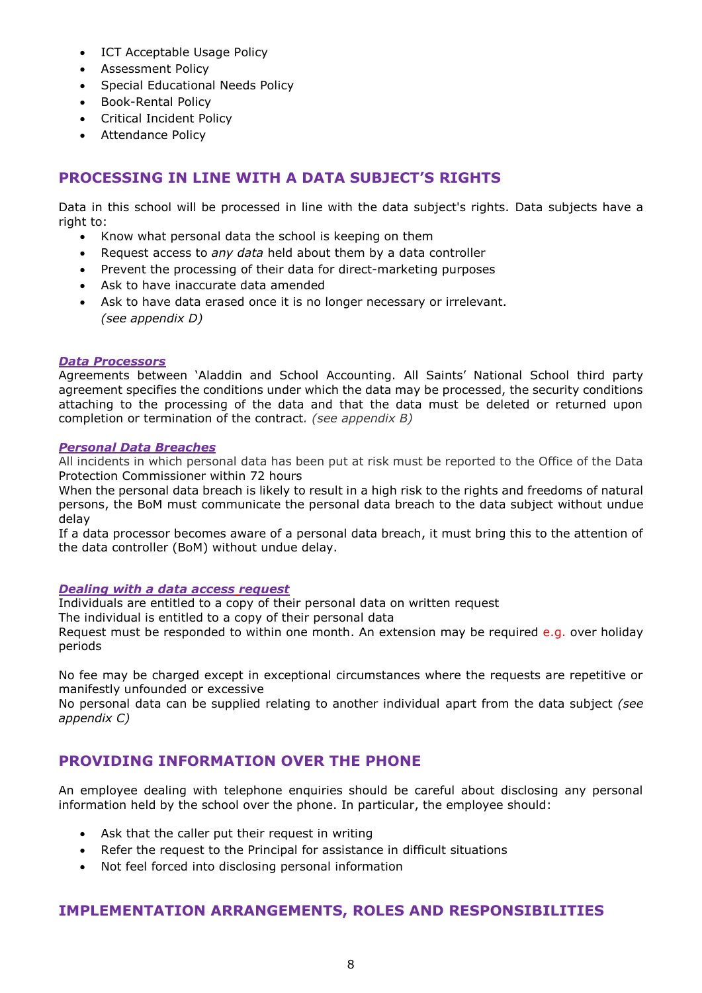- ICT Acceptable Usage Policy
- Assessment Policy
- Special Educational Needs Policy
- Book-Rental Policy
- Critical Incident Policy
- Attendance Policy

# **PROCESSING IN LINE WITH A DATA SUBJECT'S RIGHTS**

Data in this school will be processed in line with the data subject's rights. Data subjects have a right to:

- Know what personal data the school is keeping on them
- Request access to *any data* held about them by a data controller
- Prevent the processing of their data for direct-marketing purposes
- Ask to have inaccurate data amended
- Ask to have data erased once it is no longer necessary or irrelevant. *(see appendix D)*

#### *Data Processors*

Agreements between 'Aladdin and School Accounting. All Saints' National School third party agreement specifies the conditions under which the data may be processed, the security conditions attaching to the processing of the data and that the data must be deleted or returned upon completion or termination of the contract*. (see appendix B)*

#### *Personal Data Breaches*

All incidents in which personal data has been put at risk must be reported to the Office of the Data Protection Commissioner within 72 hours

When the personal data breach is likely to result in a high risk to the rights and freedoms of natural persons, the BoM must communicate the personal data breach to the data subject without undue delay

If a data processor becomes aware of a personal data breach, it must bring this to the attention of the data controller (BoM) without undue delay.

### *Dealing with a data access request*

Individuals are entitled to a copy of their personal data on written request

The individual is entitled to a copy of their personal data

Request must be responded to within one month. An extension may be required e.g. over holiday periods

No fee may be charged except in exceptional circumstances where the requests are repetitive or manifestly unfounded or excessive

No personal data can be supplied relating to another individual apart from the data subject *(see appendix C)*

# **PROVIDING INFORMATION OVER THE PHONE**

An employee dealing with telephone enquiries should be careful about disclosing any personal information held by the school over the phone. In particular, the employee should:

- Ask that the caller put their request in writing
- Refer the request to the Principal for assistance in difficult situations
- Not feel forced into disclosing personal information

# **IMPLEMENTATION ARRANGEMENTS, ROLES AND RESPONSIBILITIES**